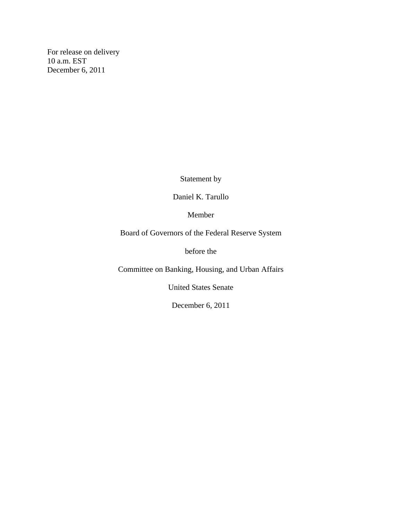For release on delivery 10 a.m. EST December 6, 2011

Statement by

Daniel K. Tarullo

Member

Board of Governors of the Federal Reserve System

before the

Committee on Banking, Housing, and Urban Affairs

United States Senate

December 6, 2011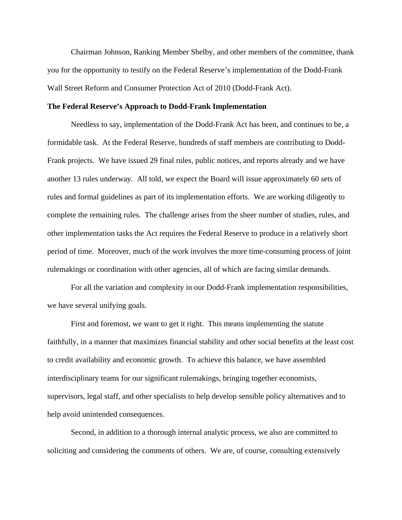Chairman Johnson, Ranking Member Shelby, and other members of the committee, thank you for the opportunity to testify on the Federal Reserve's implementation of the Dodd-Frank Wall Street Reform and Consumer Protection Act of 2010 (Dodd-Frank Act).

#### **The Federal Reserve's Approach to Dodd-Frank Implementation**

Needless to say, implementation of the Dodd-Frank Act has been, and continues to be, a formidable task. At the Federal Reserve, hundreds of staff members are contributing to Dodd-Frank projects. We have issued 29 final rules, public notices, and reports already and we have another 13 rules underway. All told, we expect the Board will issue approximately 60 sets of rules and formal guidelines as part of its implementation efforts. We are working diligently to complete the remaining rules. The challenge arises from the sheer number of studies, rules, and other implementation tasks the Act requires the Federal Reserve to produce in a relatively short period of time. Moreover, much of the work involves the more time-consuming process of joint rulemakings or coordination with other agencies, all of which are facing similar demands.

For all the variation and complexity in our Dodd-Frank implementation responsibilities, we have several unifying goals.

First and foremost, we want to get it right. This means implementing the statute faithfully, in a manner that maximizes financial stability and other social benefits at the least cost to credit availability and economic growth. To achieve this balance, we have assembled interdisciplinary teams for our significant rulemakings, bringing together economists, supervisors, legal staff, and other specialists to help develop sensible policy alternatives and to help avoid unintended consequences.

Second, in addition to a thorough internal analytic process, we also are committed to soliciting and considering the comments of others. We are, of course, consulting extensively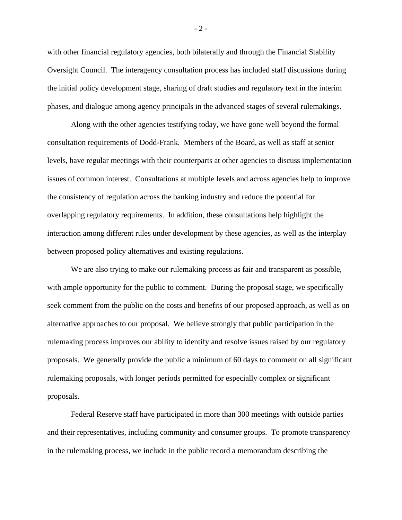with other financial regulatory agencies, both bilaterally and through the Financial Stability Oversight Council. The interagency consultation process has included staff discussions during the initial policy development stage, sharing of draft studies and regulatory text in the interim phases, and dialogue among agency principals in the advanced stages of several rulemakings.

Along with the other agencies testifying today, we have gone well beyond the formal consultation requirements of Dodd-Frank. Members of the Board, as well as staff at senior levels, have regular meetings with their counterparts at other agencies to discuss implementation issues of common interest. Consultations at multiple levels and across agencies help to improve the consistency of regulation across the banking industry and reduce the potential for overlapping regulatory requirements. In addition, these consultations help highlight the interaction among different rules under development by these agencies, as well as the interplay between proposed policy alternatives and existing regulations.

We are also trying to make our rulemaking process as fair and transparent as possible, with ample opportunity for the public to comment. During the proposal stage, we specifically seek comment from the public on the costs and benefits of our proposed approach, as well as on alternative approaches to our proposal. We believe strongly that public participation in the rulemaking process improves our ability to identify and resolve issues raised by our regulatory proposals. We generally provide the public a minimum of 60 days to comment on all significant rulemaking proposals, with longer periods permitted for especially complex or significant proposals.

Federal Reserve staff have participated in more than 300 meetings with outside parties and their representatives, including community and consumer groups. To promote transparency in the rulemaking process, we include in the public record a memorandum describing the

- 2 -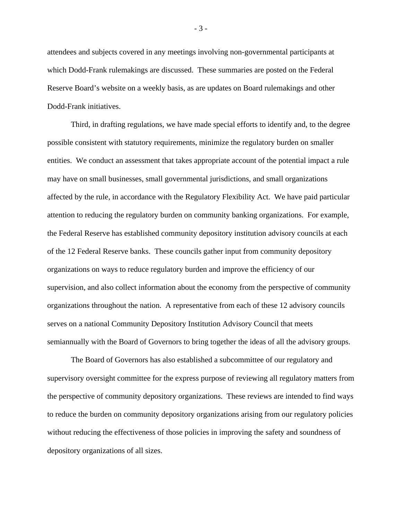attendees and subjects covered in any meetings involving non-governmental participants at which Dodd-Frank rulemakings are discussed. These summaries are posted on the Federal Reserve Board's website on a weekly basis, as are updates on Board rulemakings and other Dodd-Frank initiatives.

Third, in drafting regulations, we have made special efforts to identify and, to the degree possible consistent with statutory requirements, minimize the regulatory burden on smaller entities. We conduct an assessment that takes appropriate account of the potential impact a rule may have on small businesses, small governmental jurisdictions, and small organizations affected by the rule, in accordance with the Regulatory Flexibility Act. We have paid particular attention to reducing the regulatory burden on community banking organizations. For example, the Federal Reserve has established community depository institution advisory councils at each of the 12 Federal Reserve banks. These councils gather input from community depository organizations on ways to reduce regulatory burden and improve the efficiency of our supervision, and also collect information about the economy from the perspective of community organizations throughout the nation. A representative from each of these 12 advisory councils serves on a national Community Depository Institution Advisory Council that meets semiannually with the Board of Governors to bring together the ideas of all the advisory groups.

The Board of Governors has also established a subcommittee of our regulatory and supervisory oversight committee for the express purpose of reviewing all regulatory matters from the perspective of community depository organizations. These reviews are intended to find ways to reduce the burden on community depository organizations arising from our regulatory policies without reducing the effectiveness of those policies in improving the safety and soundness of depository organizations of all sizes.

- 3 -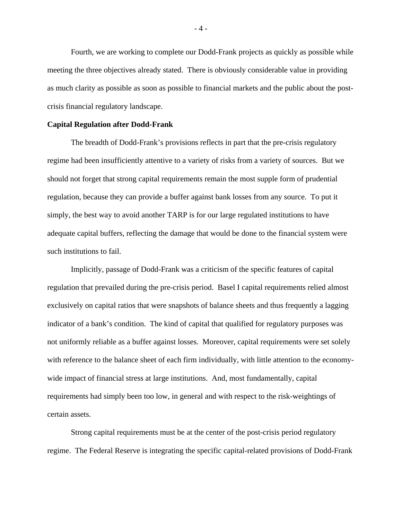Fourth, we are working to complete our Dodd-Frank projects as quickly as possible while meeting the three objectives already stated. There is obviously considerable value in providing as much clarity as possible as soon as possible to financial markets and the public about the postcrisis financial regulatory landscape.

#### **Capital Regulation after Dodd-Frank**

The breadth of Dodd-Frank's provisions reflects in part that the pre-crisis regulatory regime had been insufficiently attentive to a variety of risks from a variety of sources. But we should not forget that strong capital requirements remain the most supple form of prudential regulation, because they can provide a buffer against bank losses from any source. To put it simply, the best way to avoid another TARP is for our large regulated institutions to have adequate capital buffers, reflecting the damage that would be done to the financial system were such institutions to fail.

 Implicitly, passage of Dodd-Frank was a criticism of the specific features of capital regulation that prevailed during the pre-crisis period. Basel I capital requirements relied almost exclusively on capital ratios that were snapshots of balance sheets and thus frequently a lagging indicator of a bank's condition. The kind of capital that qualified for regulatory purposes was not uniformly reliable as a buffer against losses. Moreover, capital requirements were set solely with reference to the balance sheet of each firm individually, with little attention to the economywide impact of financial stress at large institutions. And, most fundamentally, capital requirements had simply been too low, in general and with respect to the risk-weightings of certain assets.

Strong capital requirements must be at the center of the post-crisis period regulatory regime. The Federal Reserve is integrating the specific capital-related provisions of Dodd-Frank

- 4 -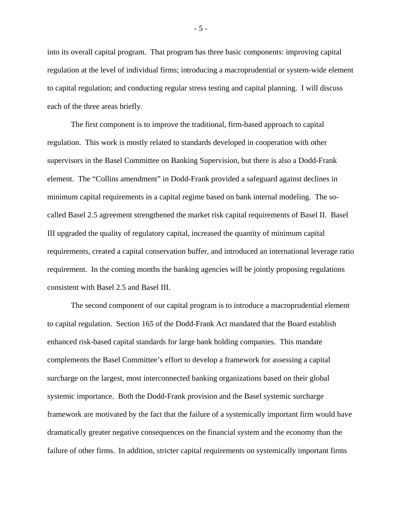into its overall capital program. That program has three basic components: improving capital regulation at the level of individual firms; introducing a macroprudential or system-wide element to capital regulation; and conducting regular stress testing and capital planning. I will discuss each of the three areas briefly.

The first component is to improve the traditional, firm-based approach to capital regulation. This work is mostly related to standards developed in cooperation with other supervisors in the Basel Committee on Banking Supervision, but there is also a Dodd-Frank element. The "Collins amendment" in Dodd-Frank provided a safeguard against declines in minimum capital requirements in a capital regime based on bank internal modeling. The socalled Basel 2.5 agreement strengthened the market risk capital requirements of Basel II. Basel III upgraded the quality of regulatory capital, increased the quantity of minimum capital requirements, created a capital conservation buffer, and introduced an international leverage ratio requirement. In the coming months the banking agencies will be jointly proposing regulations consistent with Basel 2.5 and Basel III.

The second component of our capital program is to introduce a macroprudential element to capital regulation. Section 165 of the Dodd-Frank Act mandated that the Board establish enhanced risk-based capital standards for large bank holding companies. This mandate complements the Basel Committee's effort to develop a framework for assessing a capital surcharge on the largest, most interconnected banking organizations based on their global systemic importance. Both the Dodd-Frank provision and the Basel systemic surcharge framework are motivated by the fact that the failure of a systemically important firm would have dramatically greater negative consequences on the financial system and the economy than the failure of other firms. In addition, stricter capital requirements on systemically important firms

- 5 -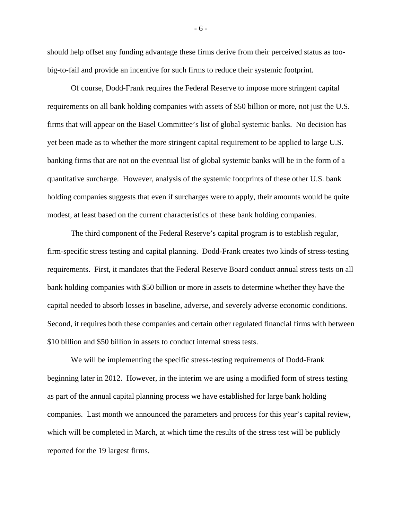should help offset any funding advantage these firms derive from their perceived status as toobig-to-fail and provide an incentive for such firms to reduce their systemic footprint.

 Of course, Dodd-Frank requires the Federal Reserve to impose more stringent capital requirements on all bank holding companies with assets of \$50 billion or more, not just the U.S. firms that will appear on the Basel Committee's list of global systemic banks. No decision has yet been made as to whether the more stringent capital requirement to be applied to large U.S. banking firms that are not on the eventual list of global systemic banks will be in the form of a quantitative surcharge. However, analysis of the systemic footprints of these other U.S. bank holding companies suggests that even if surcharges were to apply, their amounts would be quite modest, at least based on the current characteristics of these bank holding companies.

The third component of the Federal Reserve's capital program is to establish regular, firm-specific stress testing and capital planning. Dodd-Frank creates two kinds of stress-testing requirements. First, it mandates that the Federal Reserve Board conduct annual stress tests on all bank holding companies with \$50 billion or more in assets to determine whether they have the capital needed to absorb losses in baseline, adverse, and severely adverse economic conditions. Second, it requires both these companies and certain other regulated financial firms with between \$10 billion and \$50 billion in assets to conduct internal stress tests.

We will be implementing the specific stress-testing requirements of Dodd-Frank beginning later in 2012. However, in the interim we are using a modified form of stress testing as part of the annual capital planning process we have established for large bank holding companies. Last month we announced the parameters and process for this year's capital review, which will be completed in March, at which time the results of the stress test will be publicly reported for the 19 largest firms.

- 6 -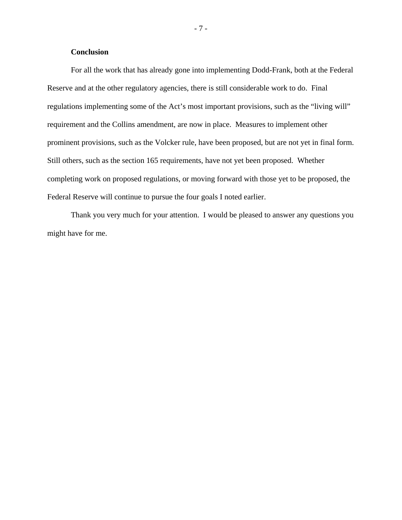#### **Conclusion**

For all the work that has already gone into implementing Dodd-Frank, both at the Federal Reserve and at the other regulatory agencies, there is still considerable work to do. Final regulations implementing some of the Act's most important provisions, such as the "living will" requirement and the Collins amendment, are now in place. Measures to implement other prominent provisions, such as the Volcker rule, have been proposed, but are not yet in final form. Still others, such as the section 165 requirements, have not yet been proposed. Whether completing work on proposed regulations, or moving forward with those yet to be proposed, the Federal Reserve will continue to pursue the four goals I noted earlier.

Thank you very much for your attention. I would be pleased to answer any questions you might have for me.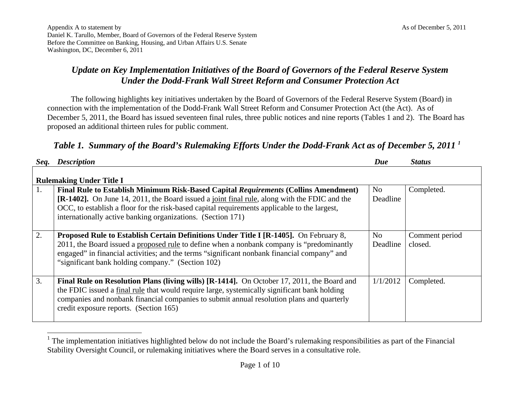# *Update on Key Implementation Initiatives of the Board of Governors of the Federal Reserve System Under the Dodd-Frank Wall Street Reform and Consumer Protection Act*

The following highlights key initiatives undertaken by the Board of Governors of the Federal Reserve System (Board) in connection with the implementation of the Dodd-Frank Wall Street Reform and Consumer Protection Act (the Act). As of December 5, 2011, the Board has issued seventeen final rules, three public notices and nine reports (Tables 1 and 2). The Board has proposed an additional thirteen rules for public comment.

# *Table 1. Summary of the Board's Rulemaking Efforts Under the Dodd-Frank Act as of December 5, 2011 1*

| Seq. | <b>Description</b>                                                                                                                                                                                                                                                                                                                                 | Due            | <b>Status</b>             |  |  |  |  |
|------|----------------------------------------------------------------------------------------------------------------------------------------------------------------------------------------------------------------------------------------------------------------------------------------------------------------------------------------------------|----------------|---------------------------|--|--|--|--|
|      | <b>Rulemaking Under Title I</b>                                                                                                                                                                                                                                                                                                                    |                |                           |  |  |  |  |
| 1.   | Final Rule to Establish Minimum Risk-Based Capital Requirements (Collins Amendment)<br>[R-1402]. On June 14, 2011, the Board issued a joint final rule, along with the FDIC and the<br>OCC, to establish a floor for the risk-based capital requirements applicable to the largest,<br>internationally active banking organizations. (Section 171) | No<br>Deadline | Completed.                |  |  |  |  |
| 2.   | <b>Proposed Rule to Establish Certain Definitions Under Title I [R-1405].</b> On February 8,<br>2011, the Board issued a proposed rule to define when a nonbank company is "predominantly"<br>engaged" in financial activities; and the terms "significant nonbank financial company" and<br>"significant bank holding company." (Section 102)     | No<br>Deadline | Comment period<br>closed. |  |  |  |  |
| 3.   | Final Rule on Resolution Plans (living wills) [R-1414]. On October 17, 2011, the Board and<br>the FDIC issued a final rule that would require large, systemically significant bank holding<br>companies and nonbank financial companies to submit annual resolution plans and quarterly<br>credit exposure reports. (Section 165)                  | 1/1/2012       | Completed.                |  |  |  |  |

<sup>&</sup>lt;sup>1</sup> The implementation initiatives highlighted below do not include the Board's rulemaking responsibilities as part of the Financial Stability Oversight Council, or rulemaking initiatives where the Board serves in a consultative role.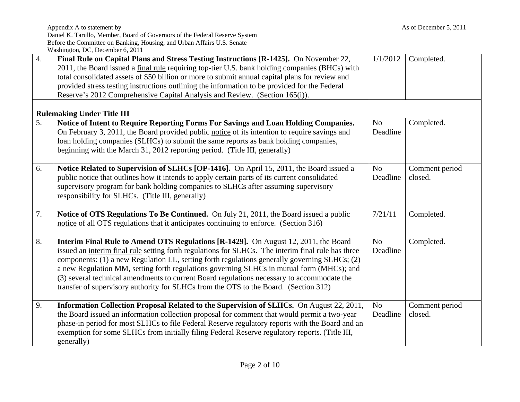|    | Daniel K. Tarullo, Member, Board of Governors of the Federal Reserve System<br>Before the Committee on Banking, Housing, and Urban Affairs U.S. Senate                                                                                                                                                                                                                                                                                                                                                                                                                        |                            |                           |
|----|-------------------------------------------------------------------------------------------------------------------------------------------------------------------------------------------------------------------------------------------------------------------------------------------------------------------------------------------------------------------------------------------------------------------------------------------------------------------------------------------------------------------------------------------------------------------------------|----------------------------|---------------------------|
|    | Washington, DC, December 6, 2011                                                                                                                                                                                                                                                                                                                                                                                                                                                                                                                                              |                            |                           |
| 4. | Final Rule on Capital Plans and Stress Testing Instructions [R-1425]. On November 22,<br>2011, the Board issued a final rule requiring top-tier U.S. bank holding companies (BHCs) with<br>total consolidated assets of \$50 billion or more to submit annual capital plans for review and<br>provided stress testing instructions outlining the information to be provided for the Federal<br>Reserve's 2012 Comprehensive Capital Analysis and Review. (Section 165(i)).                                                                                                    | 1/1/2012                   | Completed.                |
|    | <b>Rulemaking Under Title III</b>                                                                                                                                                                                                                                                                                                                                                                                                                                                                                                                                             |                            |                           |
| 5. | Notice of Intent to Require Reporting Forms For Savings and Loan Holding Companies.<br>On February 3, 2011, the Board provided public notice of its intention to require savings and<br>loan holding companies (SLHCs) to submit the same reports as bank holding companies,<br>beginning with the March 31, 2012 reporting period. (Title III, generally)                                                                                                                                                                                                                    | N <sub>o</sub><br>Deadline | Completed.                |
| 6. | Notice Related to Supervision of SLHCs [OP-1416]. On April 15, 2011, the Board issued a<br>public notice that outlines how it intends to apply certain parts of its current consolidated<br>supervisory program for bank holding companies to SLHCs after assuming supervisory<br>responsibility for SLHCs. (Title III, generally)                                                                                                                                                                                                                                            | N <sub>o</sub><br>Deadline | Comment period<br>closed. |
| 7. | Notice of OTS Regulations To Be Continued. On July 21, 2011, the Board issued a public<br>notice of all OTS regulations that it anticipates continuing to enforce. (Section 316)                                                                                                                                                                                                                                                                                                                                                                                              | 7/21/11                    | Completed.                |
| 8. | Interim Final Rule to Amend OTS Regulations [R-1429]. On August 12, 2011, the Board<br>issued an interim final rule setting forth regulations for SLHCs. The interim final rule has three<br>components: (1) a new Regulation LL, setting forth regulations generally governing SLHCs; (2)<br>a new Regulation MM, setting forth regulations governing SLHCs in mutual form (MHCs); and<br>(3) several technical amendments to current Board regulations necessary to accommodate the<br>transfer of supervisory authority for SLHCs from the OTS to the Board. (Section 312) | No<br>Deadline             | Completed.                |
| 9. | Information Collection Proposal Related to the Supervision of SLHCs. On August 22, 2011,<br>the Board issued an information collection proposal for comment that would permit a two-year<br>phase-in period for most SLHCs to file Federal Reserve regulatory reports with the Board and an<br>exemption for some SLHCs from initially filing Federal Reserve regulatory reports. (Title III,<br>generally)                                                                                                                                                                   | N <sub>o</sub><br>Deadline | Comment period<br>closed. |

Appendix A to statement by As of December 5, 2011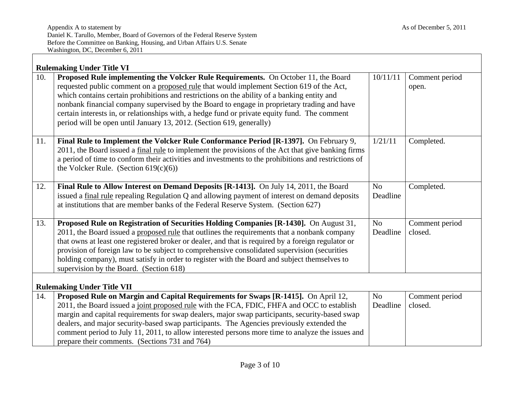|     | <b>Rulemaking Under Title VI</b>                                                                                                                                                                                                                                                                                                                                                                                                                                                                                                                      |                            |                           |  |  |  |
|-----|-------------------------------------------------------------------------------------------------------------------------------------------------------------------------------------------------------------------------------------------------------------------------------------------------------------------------------------------------------------------------------------------------------------------------------------------------------------------------------------------------------------------------------------------------------|----------------------------|---------------------------|--|--|--|
| 10. | Proposed Rule implementing the Volcker Rule Requirements. On October 11, the Board<br>requested public comment on a proposed rule that would implement Section 619 of the Act,<br>which contains certain prohibitions and restrictions on the ability of a banking entity and<br>nonbank financial company supervised by the Board to engage in proprietary trading and have<br>certain interests in, or relationships with, a hedge fund or private equity fund. The comment<br>period will be open until January 13, 2012. (Section 619, generally) | 10/11/11                   | Comment period<br>open.   |  |  |  |
| 11. | Final Rule to Implement the Volcker Rule Conformance Period [R-1397]. On February 9,<br>2011, the Board issued a final rule to implement the provisions of the Act that give banking firms<br>a period of time to conform their activities and investments to the prohibitions and restrictions of<br>the Volcker Rule. (Section $619(c)(6)$ )                                                                                                                                                                                                        | 1/21/11                    | Completed.                |  |  |  |
| 12. | Final Rule to Allow Interest on Demand Deposits [R-1413]. On July 14, 2011, the Board<br>issued a final rule repealing Regulation Q and allowing payment of interest on demand deposits<br>at institutions that are member banks of the Federal Reserve System. (Section 627)                                                                                                                                                                                                                                                                         | N <sub>o</sub><br>Deadline | Completed.                |  |  |  |
| 13. | Proposed Rule on Registration of Securities Holding Companies [R-1430]. On August 31,<br>2011, the Board issued a proposed rule that outlines the requirements that a nonbank company<br>that owns at least one registered broker or dealer, and that is required by a foreign regulator or<br>provision of foreign law to be subject to comprehensive consolidated supervision (securities<br>holding company), must satisfy in order to register with the Board and subject themselves to<br>supervision by the Board. (Section 618)                | N <sub>o</sub><br>Deadline | Comment period<br>closed. |  |  |  |
|     | <b>Rulemaking Under Title VII</b>                                                                                                                                                                                                                                                                                                                                                                                                                                                                                                                     |                            |                           |  |  |  |
| 14. | Proposed Rule on Margin and Capital Requirements for Swaps [R-1415]. On April 12,<br>2011, the Board issued a joint proposed rule with the FCA, FDIC, FHFA and OCC to establish<br>margin and capital requirements for swap dealers, major swap participants, security-based swap<br>dealers, and major security-based swap participants. The Agencies previously extended the<br>comment period to July 11, 2011, to allow interested persons more time to analyze the issues and<br>prepare their comments. (Sections 731 and 764)                  | N <sub>o</sub><br>Deadline | Comment period<br>closed. |  |  |  |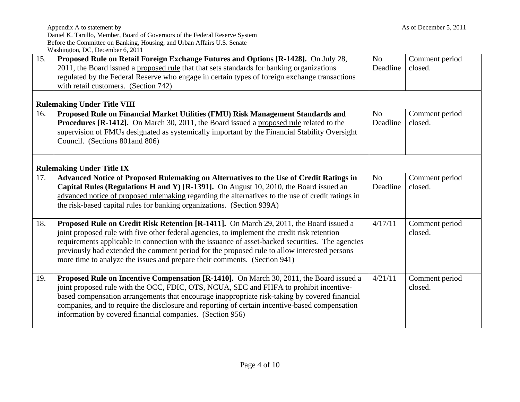|     | $W$ assimigable, DC, December 0, 2011                                                                                                                                                                                                                                                                                                                                                                                                                                   |                            |                           |
|-----|-------------------------------------------------------------------------------------------------------------------------------------------------------------------------------------------------------------------------------------------------------------------------------------------------------------------------------------------------------------------------------------------------------------------------------------------------------------------------|----------------------------|---------------------------|
| 15. | Proposed Rule on Retail Foreign Exchange Futures and Options [R-1428]. On July 28,<br>2011, the Board issued a proposed rule that that sets standards for banking organizations<br>regulated by the Federal Reserve who engage in certain types of foreign exchange transactions<br>with retail customers. (Section 742)                                                                                                                                                | N <sub>o</sub><br>Deadline | Comment period<br>closed. |
|     | <b>Rulemaking Under Title VIII</b>                                                                                                                                                                                                                                                                                                                                                                                                                                      |                            |                           |
| 16. | Proposed Rule on Financial Market Utilities (FMU) Risk Management Standards and<br><b>Procedures [R-1412].</b> On March 30, 2011, the Board issued a proposed rule related to the<br>supervision of FMUs designated as systemically important by the Financial Stability Oversight<br>Council. (Sections 801 and 806)                                                                                                                                                   | N <sub>o</sub><br>Deadline | Comment period<br>closed. |
|     | <b>Rulemaking Under Title IX</b>                                                                                                                                                                                                                                                                                                                                                                                                                                        |                            |                           |
| 17. | Advanced Notice of Proposed Rulemaking on Alternatives to the Use of Credit Ratings in<br>Capital Rules (Regulations H and Y) [R-1391]. On August 10, 2010, the Board issued an<br>advanced notice of proposed rulemaking regarding the alternatives to the use of credit ratings in<br>the risk-based capital rules for banking organizations. (Section 939A)                                                                                                          | N <sub>o</sub><br>Deadline | Comment period<br>closed. |
| 18. | Proposed Rule on Credit Risk Retention [R-1411]. On March 29, 2011, the Board issued a<br>joint proposed rule with five other federal agencies, to implement the credit risk retention<br>requirements applicable in connection with the issuance of asset-backed securities. The agencies<br>previously had extended the comment period for the proposed rule to allow interested persons<br>more time to analyze the issues and prepare their comments. (Section 941) | 4/17/11                    | Comment period<br>closed. |
| 19. | Proposed Rule on Incentive Compensation [R-1410]. On March 30, 2011, the Board issued a<br>joint proposed rule with the OCC, FDIC, OTS, NCUA, SEC and FHFA to prohibit incentive-<br>based compensation arrangements that encourage inappropriate risk-taking by covered financial<br>companies, and to require the disclosure and reporting of certain incentive-based compensation<br>information by covered financial companies. (Section 956)                       | 4/21/11                    | Comment period<br>closed. |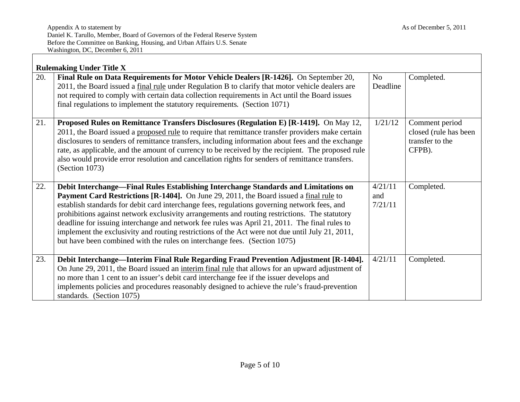|     | <b>Rulemaking Under Title X</b>                                                                                                                                                                                                                                                                                                                                                                                                                                                                                                                                                                                                                                 |                           |                                                                      |
|-----|-----------------------------------------------------------------------------------------------------------------------------------------------------------------------------------------------------------------------------------------------------------------------------------------------------------------------------------------------------------------------------------------------------------------------------------------------------------------------------------------------------------------------------------------------------------------------------------------------------------------------------------------------------------------|---------------------------|----------------------------------------------------------------------|
| 20. | Final Rule on Data Requirements for Motor Vehicle Dealers [R-1426]. On September 20,<br>2011, the Board issued a final rule under Regulation B to clarify that motor vehicle dealers are<br>not required to comply with certain data collection requirements in Act until the Board issues<br>final regulations to implement the statutory requirements. (Section 1071)                                                                                                                                                                                                                                                                                         | No<br>Deadline            | Completed.                                                           |
| 21. | Proposed Rules on Remittance Transfers Disclosures (Regulation E) [R-1419]. On May 12,<br>2011, the Board issued a proposed rule to require that remittance transfer providers make certain<br>disclosures to senders of remittance transfers, including information about fees and the exchange<br>rate, as applicable, and the amount of currency to be received by the recipient. The proposed rule<br>also would provide error resolution and cancellation rights for senders of remittance transfers.<br>(Section 1073)                                                                                                                                    | 1/21/12                   | Comment period<br>closed (rule has been<br>transfer to the<br>CFPB). |
| 22. | Debit Interchange—Final Rules Establishing Interchange Standards and Limitations on<br>Payment Card Restrictions [R-1404]. On June 29, 2011, the Board issued a final rule to<br>establish standards for debit card interchange fees, regulations governing network fees, and<br>prohibitions against network exclusivity arrangements and routing restrictions. The statutory<br>deadline for issuing interchange and network fee rules was April 21, 2011. The final rules to<br>implement the exclusivity and routing restrictions of the Act were not due until July 21, 2011,<br>but have been combined with the rules on interchange fees. (Section 1075) | 4/21/11<br>and<br>7/21/11 | Completed.                                                           |
| 23. | Debit Interchange—Interim Final Rule Regarding Fraud Prevention Adjustment [R-1404].<br>On June 29, 2011, the Board issued an interim final rule that allows for an upward adjustment of<br>no more than 1 cent to an issuer's debit card interchange fee if the issuer develops and<br>implements policies and procedures reasonably designed to achieve the rule's fraud-prevention<br>standards. (Section 1075)                                                                                                                                                                                                                                              | 4/21/11                   | Completed.                                                           |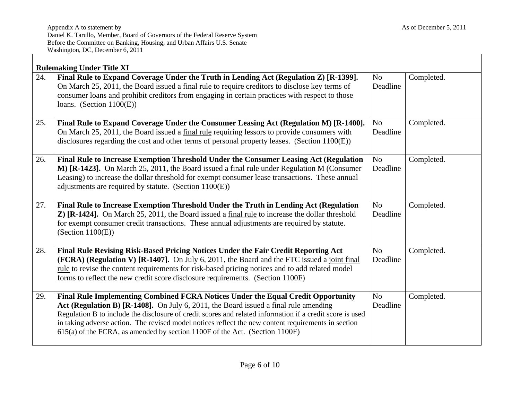|     | <b>Rulemaking Under Title XI</b>                                                                                                                                                                                                                                                                                                                                                                                                                                            |                            |            |
|-----|-----------------------------------------------------------------------------------------------------------------------------------------------------------------------------------------------------------------------------------------------------------------------------------------------------------------------------------------------------------------------------------------------------------------------------------------------------------------------------|----------------------------|------------|
| 24. | Final Rule to Expand Coverage Under the Truth in Lending Act (Regulation Z) [R-1399].<br>On March 25, 2011, the Board issued a final rule to require creditors to disclose key terms of<br>consumer loans and prohibit creditors from engaging in certain practices with respect to those<br>loans. (Section $1100(E)$ )                                                                                                                                                    | N <sub>o</sub><br>Deadline | Completed. |
| 25. | Final Rule to Expand Coverage Under the Consumer Leasing Act (Regulation M) [R-1400].<br>On March 25, 2011, the Board issued a final rule requiring lessors to provide consumers with<br>disclosures regarding the cost and other terms of personal property leases. (Section 1100(E))                                                                                                                                                                                      | N <sub>o</sub><br>Deadline | Completed. |
| 26. | Final Rule to Increase Exemption Threshold Under the Consumer Leasing Act (Regulation<br>M) [R-1423]. On March 25, 2011, the Board issued a final rule under Regulation M (Consumer<br>Leasing) to increase the dollar threshold for exempt consumer lease transactions. These annual<br>adjustments are required by statute. (Section $1100(E)$ )                                                                                                                          | N <sub>o</sub><br>Deadline | Completed. |
| 27. | Final Rule to Increase Exemption Threshold Under the Truth in Lending Act (Regulation<br>Z) [R-1424]. On March 25, 2011, the Board issued a final rule to increase the dollar threshold<br>for exempt consumer credit transactions. These annual adjustments are required by statute.<br>(Section $1100(E)$ )                                                                                                                                                               | N <sub>o</sub><br>Deadline | Completed. |
| 28. | Final Rule Revising Risk-Based Pricing Notices Under the Fair Credit Reporting Act<br>(FCRA) (Regulation V) [R-1407]. On July 6, 2011, the Board and the FTC issued a joint final<br>rule to revise the content requirements for risk-based pricing notices and to add related model<br>forms to reflect the new credit score disclosure requirements. (Section 1100F)                                                                                                      | N <sub>o</sub><br>Deadline | Completed. |
| 29. | Final Rule Implementing Combined FCRA Notices Under the Equal Credit Opportunity<br>Act (Regulation B) [R-1408]. On July 6, 2011, the Board issued a final rule amending<br>Regulation B to include the disclosure of credit scores and related information if a credit score is used<br>in taking adverse action. The revised model notices reflect the new content requirements in section<br>615(a) of the FCRA, as amended by section 1100F of the Act. (Section 1100F) | N <sub>o</sub><br>Deadline | Completed. |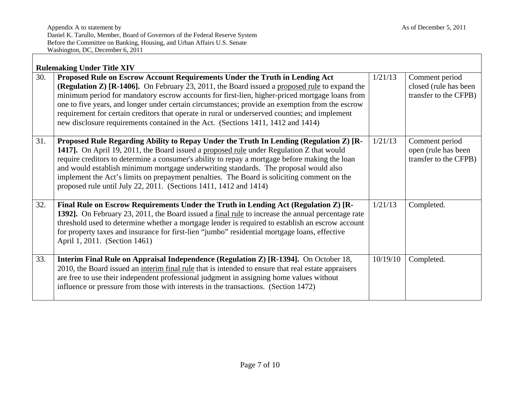|     | <b>Rulemaking Under Title XIV</b>                                                                                                                                                                                                                                                                                                                                                                                                                                                                                                                                              |          |                                                                  |
|-----|--------------------------------------------------------------------------------------------------------------------------------------------------------------------------------------------------------------------------------------------------------------------------------------------------------------------------------------------------------------------------------------------------------------------------------------------------------------------------------------------------------------------------------------------------------------------------------|----------|------------------------------------------------------------------|
| 30. | Proposed Rule on Escrow Account Requirements Under the Truth in Lending Act<br><b>(Regulation Z) [R-1406].</b> On February 23, 2011, the Board issued a proposed rule to expand the<br>minimum period for mandatory escrow accounts for first-lien, higher-priced mortgage loans from<br>one to five years, and longer under certain circumstances; provide an exemption from the escrow<br>requirement for certain creditors that operate in rural or underserved counties; and implement<br>new disclosure requirements contained in the Act. (Sections 1411, 1412 and 1414) | 1/21/13  | Comment period<br>closed (rule has been<br>transfer to the CFPB) |
| 31. | Proposed Rule Regarding Ability to Repay Under the Truth In Lending (Regulation Z) [R-<br>1417]. On April 19, 2011, the Board issued a proposed rule under Regulation Z that would<br>require creditors to determine a consumer's ability to repay a mortgage before making the loan<br>and would establish minimum mortgage underwriting standards. The proposal would also<br>implement the Act's limits on prepayment penalties. The Board is soliciting comment on the<br>proposed rule until July 22, 2011. (Sections 1411, 1412 and 1414)                                | 1/21/13  | Comment period<br>open (rule has been<br>transfer to the CFPB)   |
| 32. | Final Rule on Escrow Requirements Under the Truth in Lending Act (Regulation Z) [R-<br>1392]. On February 23, 2011, the Board issued a final rule to increase the annual percentage rate<br>threshold used to determine whether a mortgage lender is required to establish an escrow account<br>for property taxes and insurance for first-lien "jumbo" residential mortgage loans, effective<br>April 1, 2011. (Section 1461)                                                                                                                                                 | 1/21/13  | Completed.                                                       |
| 33. | Interim Final Rule on Appraisal Independence (Regulation Z) [R-1394]. On October 18,<br>2010, the Board issued an interim final rule that is intended to ensure that real estate appraisers<br>are free to use their independent professional judgment in assigning home values without<br>influence or pressure from those with interests in the transactions. (Section 1472)                                                                                                                                                                                                 | 10/19/10 | Completed.                                                       |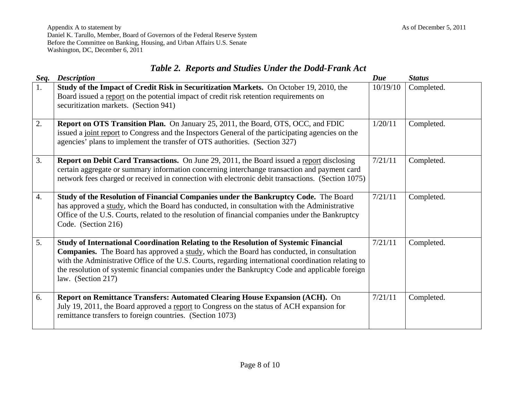Appendix A to statement by As of December 5, 2011 Daniel K. Tarullo, Member, Board of Governors of the Federal Reserve System Before the Committee on Banking, Housing, and Urban Affairs U.S. Senate Washington, DC, December 6, 2011

|  |  |  |  | Table 2. Reports and Studies Under the Dodd-Frank Act |
|--|--|--|--|-------------------------------------------------------|
|--|--|--|--|-------------------------------------------------------|

| Seq. | <b>Description</b>                                                                                                                                                                                                                                                                                                                                                                                                | Due      | <b>Status</b> |
|------|-------------------------------------------------------------------------------------------------------------------------------------------------------------------------------------------------------------------------------------------------------------------------------------------------------------------------------------------------------------------------------------------------------------------|----------|---------------|
| 1.   | Study of the Impact of Credit Risk in Securitization Markets. On October 19, 2010, the<br>Board issued a report on the potential impact of credit risk retention requirements on<br>securitization markets. (Section 941)                                                                                                                                                                                         | 10/19/10 | Completed.    |
| 2.   | <b>Report on OTS Transition Plan.</b> On January 25, 2011, the Board, OTS, OCC, and FDIC<br>issued a joint report to Congress and the Inspectors General of the participating agencies on the<br>agencies' plans to implement the transfer of OTS authorities. (Section 327)                                                                                                                                      | 1/20/11  | Completed.    |
| 3.   | <b>Report on Debit Card Transactions.</b> On June 29, 2011, the Board issued a report disclosing<br>certain aggregate or summary information concerning interchange transaction and payment card<br>network fees charged or received in connection with electronic debit transactions. (Section 1075)                                                                                                             | 7/21/11  | Completed.    |
| 4.   | Study of the Resolution of Financial Companies under the Bankruptcy Code. The Board<br>has approved a study, which the Board has conducted, in consultation with the Administrative<br>Office of the U.S. Courts, related to the resolution of financial companies under the Bankruptcy<br>Code. (Section 216)                                                                                                    | 7/21/11  | Completed.    |
| 5.   | Study of International Coordination Relating to the Resolution of Systemic Financial<br>Companies. The Board has approved a study, which the Board has conducted, in consultation<br>with the Administrative Office of the U.S. Courts, regarding international coordination relating to<br>the resolution of systemic financial companies under the Bankruptcy Code and applicable foreign<br>law. (Section 217) | 7/21/11  | Completed.    |
| 6.   | Report on Remittance Transfers: Automated Clearing House Expansion (ACH). On<br>July 19, 2011, the Board approved a report to Congress on the status of ACH expansion for<br>remittance transfers to foreign countries. (Section 1073)                                                                                                                                                                            | 7/21/11  | Completed.    |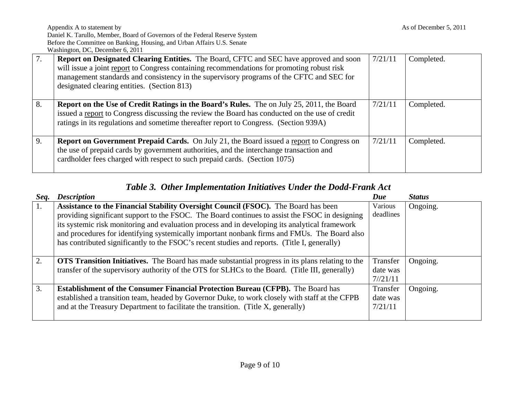| 7. | <b>Report on Designated Clearing Entities.</b> The Board, CFTC and SEC have approved and soon<br>will issue a joint report to Congress containing recommendations for promoting robust risk<br>management standards and consistency in the supervisory programs of the CFTC and SEC for<br>designated clearing entities. (Section 813) | 7/21/11 | Completed. |
|----|----------------------------------------------------------------------------------------------------------------------------------------------------------------------------------------------------------------------------------------------------------------------------------------------------------------------------------------|---------|------------|
| 8. | <b>Report on the Use of Credit Ratings in the Board's Rules.</b> The on July 25, 2011, the Board<br>issued a report to Congress discussing the review the Board has conducted on the use of credit<br>ratings in its regulations and sometime thereafter report to Congress. (Section 939A)                                            | 7/21/11 | Completed. |
| 9. | <b>Report on Government Prepaid Cards.</b> On July 21, the Board issued a report to Congress on<br>the use of prepaid cards by government authorities, and the interchange transaction and<br>cardholder fees charged with respect to such prepaid cards. (Section 1075)                                                               | 7/21/11 | Completed. |

# *Table 3. Other Implementation Initiatives Under the Dodd-Frank Act*

| Seq. | <b>Description</b>                                                                                                                                                                                                                                                                                                                                                                                                                                                                     | Due                             | <b>Status</b> |
|------|----------------------------------------------------------------------------------------------------------------------------------------------------------------------------------------------------------------------------------------------------------------------------------------------------------------------------------------------------------------------------------------------------------------------------------------------------------------------------------------|---------------------------------|---------------|
| 1.   | Assistance to the Financial Stability Oversight Council (FSOC). The Board has been<br>providing significant support to the FSOC. The Board continues to assist the FSOC in designing<br>its systemic risk monitoring and evaluation process and in developing its analytical framework<br>and procedures for identifying systemically important nonbank firms and FMUs. The Board also<br>has contributed significantly to the FSOC's recent studies and reports. (Title I, generally) | Various<br>deadlines            | Ongoing.      |
| 2.   | <b>OTS Transition Initiatives.</b> The Board has made substantial progress in its plans relating to the<br>transfer of the supervisory authority of the OTS for SLHCs to the Board. (Title III, generally)                                                                                                                                                                                                                                                                             | Transfer<br>date was<br>7/21/11 | Ongoing.      |
| 3.   | <b>Establishment of the Consumer Financial Protection Bureau (CFPB).</b> The Board has<br>established a transition team, headed by Governor Duke, to work closely with staff at the CFPB<br>and at the Treasury Department to facilitate the transition. (Title X, generally)                                                                                                                                                                                                          | Transfer<br>date was<br>7/21/11 | Ongoing.      |